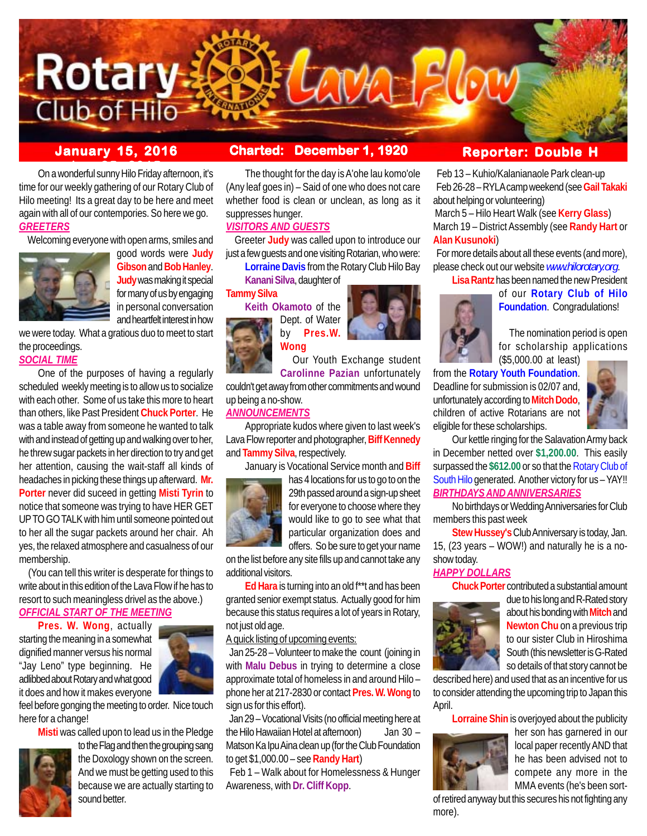

# **January 15, 2016 Charted: December 1, 1920**

**ber 25, 2015** On a wonderful sunny Hilo Friday afternoon, it's time for our weekly gathering of our Rotary Club of Hilo meeting! Its a great day to be here and meet again with all of our contempories. So here we go. *GREETERS*

Welcoming everyone with open arms, smiles and



good words were **Judy Gibson** and **Bob Hanley**. **Judy** was making it special for many of us by engaging in personal conversation and heartfelt interest in how

we were today. What a gratious duo to meet to start the proceedings. *SOCIAL TIME*

## One of the purposes of having a regularly scheduled weekly meeting is to allow us to socialize with each other. Some of us take this more to heart than others, like Past President **Chuck Porter**. He was a table away from someone he wanted to talk with and instead of getting up and walking over to her, he threw sugar packets in her direction to try and get her attention, causing the wait-staff all kinds of headaches in picking these things up afterward. **Mr. Porter** never did suceed in getting **Misti Tyrin** to notice that someone was trying to have HER GET

UP TO GO TALK with him until someone pointed out to her all the sugar packets around her chair. Ah yes, the relaxed atmosphere and casualness of our membership.

 (You can tell this writer is desperate for things to write about in this edition of the Lava Flow if he has to resort to such meaningless drivel as the above.)

# *OFFICIAL START OF THE MEETING*

**Pres. W. Wong**, actually starting the meaning in a somewhat dignified manner versus his normal "Jay Leno" type beginning. He adlibbed about Rotary and what good it does and how it makes everyone



feel before gonging the meeting to order. Nice touch here for a change!

**Misti** was called upon to lead us in the Pledge



to the Flag and then the grouping sang the Doxology shown on the screen. And we must be getting used to this because we are actually starting to sound better.

The thought for the day is A'ohe lau komo'ole (Any leaf goes in) – Said of one who does not care whether food is clean or unclean, as long as it suppresses hunger.

## *VISITORS AND GUESTS*

 Greeter **Judy** was called upon to introduce our just a few quests and one visiting Rotarian, who were:

**Lorraine Davis** from the Rotary Club Hilo Bay

**Kanani Silva**, daughter of **Tammy Silva**

> **Keith Okamoto** of the Dept. of Water by **Pres.W. Wong**



 Our Youth Exchange student **Carolinne Pazian** unfortunately

couldn't get away from other commitments and wound up being a no-show.

## *ANNOUNCEMENTS*

Appropriate kudos where given to last week's Lava Flow reporter and photographer, **Biff Kennedy** and **Tammy Silva**, respectively.

January is Vocational Service month and **Biff**



has 4 locations for us to go to on the 29th passed around a sign-up sheet for everyone to choose where they would like to go to see what that particular organization does and offers. So be sure to get your name

on the list before any site fills up and cannot take any additional visitors.

**Ed Hara** is turning into an old f\*\*t and has been granted senior exempt status. Actually good for him because this status requires a lot of years in Rotary, not just old age.

## A quick listing of upcoming events:

 Jan 25-28 – Volunteer to make the count (joining in with **Malu Debus** in trying to determine a close approximate total of homeless in and around Hilo – phone her at 217-2830 or contact **Pres. W. Wong** to sign us for this effort).

 Jan 29 – Vocational Visits (no official meeting here at the Hilo Hawaiian Hotel at afternoon) Jan 30 – Matson Ka Ipu Aina clean up (for the Club Foundation to get \$1,000.00 – see **Randy Hart**)

 Feb 1 – Walk about for Homelessness & Hunger Awareness, with **Dr. Cliff Kopp**.

# **Reporter: Double H**

 Feb 13 – Kuhio/Kalanianaole Park clean-up Feb 26-28 – RYLA camp weekend (see **Gail Takaki** about helping or volunteering)

 March 5 – Hilo Heart Walk (see **Kerry Glass**) March 19 – District Assembly (see **Randy Hart** or **Alan Kusunoki**)

 For more details about all these events (and more), please check out our website *www.hilorotary.org*.

**Lisa Rantz** has been named the new President



of our **Rotary Club of Hilo Foundation**. Congradulations!

The nomination period is open for scholarship applications (\$5,000.00 at least)

from the **Rotary Youth Foundation**. Deadline for submission is 02/07 and, unfortunately according to **Mitch Dodo**, children of active Rotarians are not eligible for these scholarships.



Our kettle ringing for the Salavation Army back in December netted over **\$1,200.00**. This easily surpassed the **\$612.00** or so that the Rotary Club of South Hilo generated. Another victory for us – YAY!! *BIRTHDAYS AND ANNIVERSARIES*

No birthdays or Wedding Anniversaries for Club members this past week

**Stew Hussey's** Club Anniversary is today, Jan. 15, (23 years – WOW!) and naturally he is a noshow today.

## *HAPPY DOLLARS*

**Chuck Porter** contributed a substantial amount



due to his long and R-Rated story about his bonding with **Mitch** and **Newton Chu** on a previous trip to our sister Club in Hiroshima South (this newsletter is G-Rated so details of that story cannot be

described here) and used that as an incentive for us to consider attending the upcoming trip to Japan this April.

**Lorraine Shin** is overjoyed about the publicity



her son has garnered in our local paper recently AND that he has been advised not to compete any more in the MMA events (he's been sort-

of retired anyway but this secures his not fighting any more).